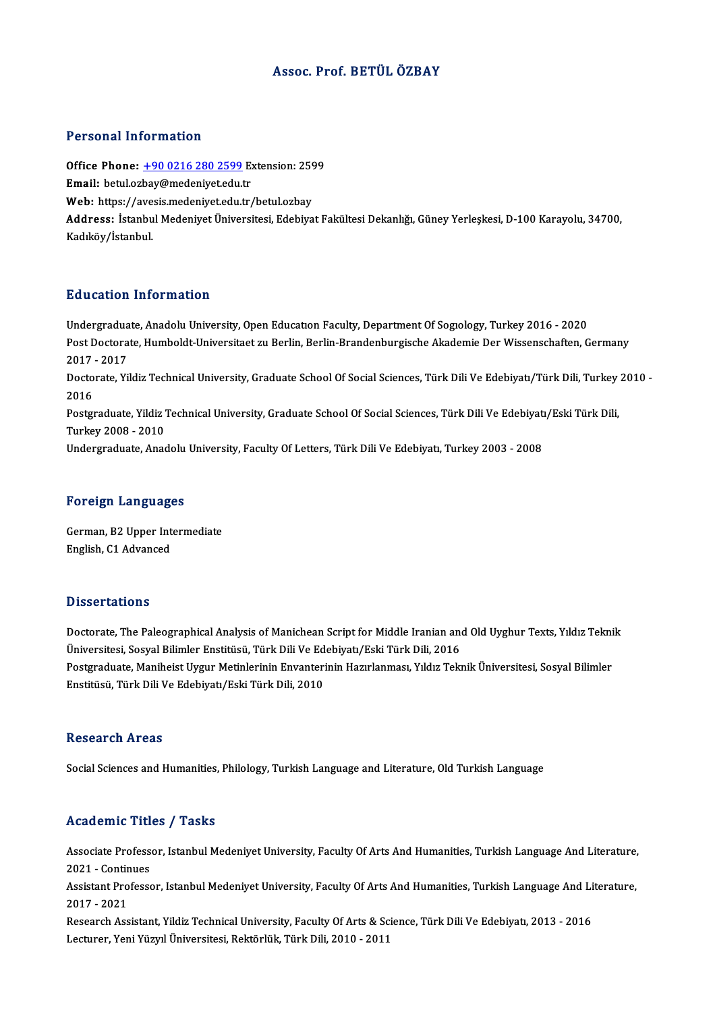### Assoc. Prof. BETÜLÖZBAY

### Personal Information

Personal Information<br>Office Phone: <u>+90 0216 280 2599</u> Extension: 2599<br>Email: betylerbay@modeniyet.edu.tr Processian information<br>Office Phone: <u>+90 0216 280 2599</u> Ex<br>Email: betul.oz[bay@medeniyet.edu.t](tel:+90 0216 280 2599)r Office Phone: <u>+90 0216 280 2599</u> Extension: 259<br>Email: betul.ozbay@medeniyet.edu.tr<br>Web: https://avesis.medeniyet.edu.tr/betul.ozbay<br>Addressy Istanbul Medeniyet.edu.tr/betul.ozbay Email: betul.ozbay@medeniyet.edu.tr<br>Web: https://avesis.medeniyet.edu.tr/betul.ozbay<br>Address: İstanbul Medeniyet Üniversitesi, Edebiyat Fakültesi Dekanlığı, Güney Yerleşkesi, D-100 Karayolu, 34700,<br>Kadıköy/İstanbul. Web: https://avesis.medeniyet.edu.tr/betul.ozbay

### Education Information

Education Information<br>Undergraduate, Anadolu University, Open Education Faculty, Department Of Sogiology, Turkey 2016 - 2020<br>Post Desterate Humboldt Universitest zu Berlin, Berlin, Brandephurgische Alsedemie Der Wissenscha Pu d'eutren Timer Inderen<br>Undergraduate, Anadolu University, Open Education Faculty, Department Of Sogiology, Turkey 2016 - 2020<br>Post Doctorate, Humboldt-Universitaet zu Berlin, Berlin-Brandenburgische Akademie Der Wissens Undergradua<br>Post Doctora<br>2017 - 2017<br>Doctorate Vi Post Doctorate, Humboldt-Universitaet zu Berlin, Berlin-Brandenburgische Akademie Der Wissenschaften, Germany<br>2017 - 2017<br>Doctorate, Yildiz Technical University, Graduate School Of Social Sciences, Türk Dili Ve Edebiyatı/T 2017 - 2017<br>Doctorate, Yildiz Technical University, Graduate School Of Social Sciences, Türk Dili Ve Edebiyatı/Türk Dili, Turkey 2010 -<br>2016 Doctorate, Yildiz Technical University, Graduate School Of Social Sciences, Türk Dili Ve Edebiyatı/Türk Dili, Turkey<br>2016<br>Postgraduate, Yildiz Technical University, Graduate School Of Social Sciences, Türk Dili Ve Edebiyat 2016<br>Postgraduate, Yildiz<br>Turkey 2008 - 2010<br>Undergraduate, Anse Postgraduate, Yildiz Technical University, Graduate School Of Social Sciences, Türk Dili Ve Edebiyatı<br>Turkey 2008 - 2010<br>Undergraduate, Anadolu University, Faculty Of Letters, Türk Dili Ve Edebiyatı, Turkey 2003 - 2008 Undergraduate, Anadolu University, Faculty Of Letters, Türk Dili Ve Edebiyatı, Turkey 2003 - 2008<br>Foreign Languages

Foreign Languages<br>German, B2 Upper Intermediate<br>English C1 Advanced English, C1 Advanced<br>English, C1 Advanced English, C1 Advanced<br>Dissertations

Dissertations<br>Doctorate, The Paleographical Analysis of Manichean Script for Middle Iranian and Old Uyghur Texts, Yıldız Teknik<br>Ühiversitesi, Sesval Bilimler Enstitüsü, Türk Dili Ve Edebiyatı (Feki Türk Dili, 2016 D'isser tarre'ns<br>Doctorate, The Paleographical Analysis of Manichean Script for Middle Iranian an<br>Üniversitesi, Sosyal Bilimler Enstitüsü, Türk Dili Ve Edebiyatı/Eski Türk Dili, 2016<br>Postsyaduate Maniheist Uygun Metinlenin Doctorate, The Paleographical Analysis of Manichean Script for Middle Iranian and Old Uyghur Texts, Yıldız Tekni<br>Üniversitesi, Sosyal Bilimler Enstitüsü, Türk Dili Ve Edebiyatı/Eski Türk Dili, 2016<br>Postgraduate, Maniheist Üniversitesi, Sosyal Bilimler Enstitüsü, Türk Dili Ve Ed<br>Postgraduate, Maniheist Uygur Metinlerinin Envanteri<br>Enstitüsü, Türk Dili Ve Edebiyatı/Eski Türk Dili, 2010 Enstitüsü, Türk Dili Ve Edebiyatı/Eski Türk Dili, 2010<br>Research Areas

Social Sciences and Humanities, Philology, Turkish Language and Literature, Old Turkish Language

### Academic Titles / Tasks

Academic Titles / Tasks<br>Associate Professor, Istanbul Medeniyet University, Faculty Of Arts And Humanities, Turkish Language And Literature,<br>2021 - Continues Associate Profess<br>2021 - Continues<br>Assistant Professe Associate Professor, Istanbul Medeniyet University, Faculty Of Arts And Humanities, Turkish Language And Literature,<br>2021 - Continues<br>Assistant Professor, Istanbul Medeniyet University, Faculty Of Arts And Humanities, Turk

2021 - Continues<br>Assistant Professor, Istanbul Medeniyet University, Faculty Of Arts And Humanities, Turkish Language And Literature,<br>2017 - 2021

Research Assistant, Yildiz Technical University, Faculty Of Arts & Science, Türk Dili Ve Edebiyatı, 2013 - 2016 Lecturer,YeniYüzyılÜniversitesi,Rektörlük,TürkDili,2010 -2011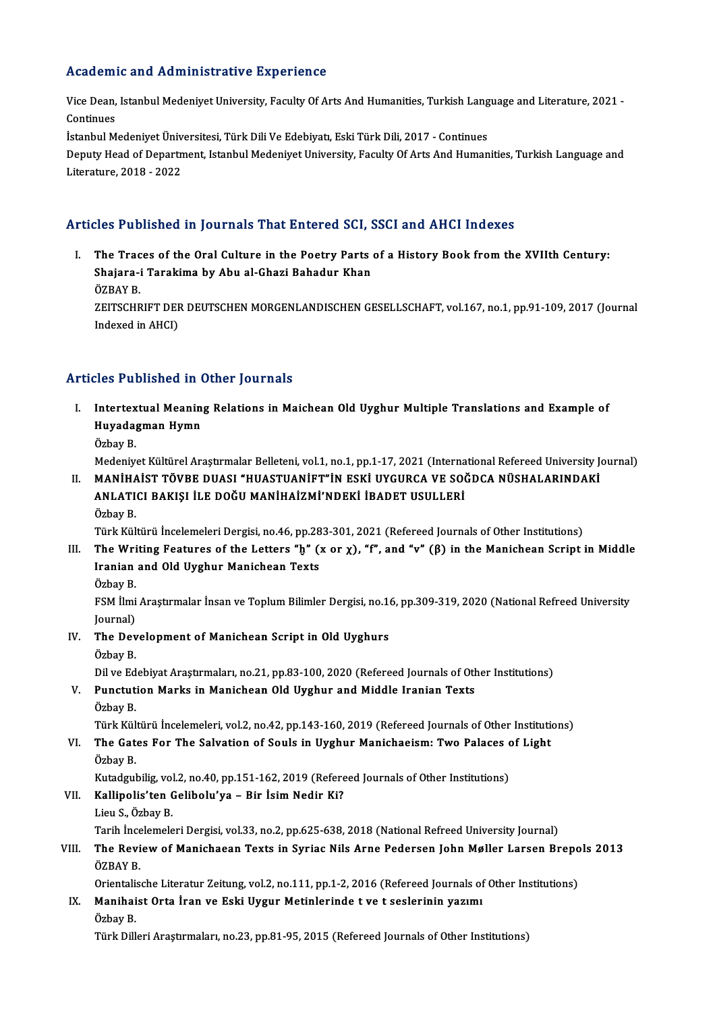### Academic and Administrative Experience

Academic and Administrative Experience<br>Vice Dean, Istanbul Medeniyet University, Faculty Of Arts And Humanities, Turkish Language and Literature, 2021<br>Continues rications<br>Vice Dean,<br>Continues<br>Istanbul M Vice Dean, Istanbul Medeniyet University, Faculty Of Arts And Humanities, Turkish Lang<br>Continues<br>İstanbul Medeniyet Üniversitesi, Türk Dili Ve Edebiyatı, Eski Türk Dili, 2017 - Continues<br>Deputy Heed of Depertment, Istanbul

Continues<br>İstanbul Medeniyet Üniversitesi, Türk Dili Ve Edebiyatı, Eski Türk Dili, 2017 - Continues<br>Deputy Head of Department, Istanbul Medeniyet University, Faculty Of Arts And Humanities, Turkish Language and<br>Literature, İstanbul Medeniyet Üniv<br>Deputy Head of Departn<br>Literature, 2018 - 2022

### Articles Published in Journals That Entered SCI, SSCI and AHCI Indexes

rticles Published in Journals That Entered SCI, SSCI and AHCI Indexes<br>I. The Traces of the Oral Culture in the Poetry Parts of a History Book from the XVIIth Century:<br>Shajara i Tarakima by Abu al Chari Bahadur Khan Shajara-i Tarakima by Abu al-Ghazi Bahadur Khan<br>Shajara-i Tarakima by Abu al-Ghazi Bahadur Khan<br>ÖZRAV R The Trac<br>Shajara-i<br>ÖZBAY B.<br>ZEITSCHR Shajara-i Tarakima by Abu al-Ghazi Bahadur Khan<br>ÖZBAY B.<br>ZEITSCHRIFT DER DEUTSCHEN MORGENLANDISCHEN GESELLSCHAFT, vol.167, no.1, pp.91-109, 2017 (Journal<br>Indexed in AHCD ÖZBAY B.<br>ZEITSCHRIFT DEF<br>Indexed in AHCI)

Indexed in AHCI)<br>Articles Published in Other Journals

rticles Published in Other Journals<br>I. Intertextual Meaning Relations in Maichean Old Uyghur Multiple Translations and Example of<br>Huvedesman Hymn ites i dishished in (<br>Intertextual Meanin<br>Huyadagman Hymn I<mark>ntertex</mark><br>Huyada<sub>!</sub><br>Özbay B.

Huyadagman Hymn<br>Özbay B.<br>Medeniyet Kültürel Araştırmalar Belleteni, vol.1, no.1, pp.1-17, 2021 (International Refereed University Journal)<br>MANİHAİST TÖVRE DUASL "HUASTILANİET"İN ESKİ UVGURCA VE SOĞDCA NÜSHALARINDAKİ Özbay B.<br>I . Medeniyet Kültürel Araştırmalar Belleteni, vol.1, no.1, pp.1-17, 2021 (International Refereed University J<br>II. MANİHAİST TÖVBE DUASI "HUASTUANİFT"İN ESKİ UYGURCA VE SOĞDCA NÜSHALARINDAKİ<br>ANI ATICI BAKISI İLE D

Medeniyet Kültürel Araştırmalar Belleteni, vol.1, no.1, pp.1-17, 2021 (Interna<br>MANİHAİST TÖVBE DUASI "HUASTUANİFT"İN ESKİ UYGURCA VE SOÖ<br>ANLATICI BAKIŞI İLE DOĞU MANİHAİZMİ'NDEKİ İBADET USULLERİ<br>Özbəy P MANİHA<br>ANLATI<br>Özbay B.<br>Türk Kül ANLATICI BAKIŞI İLE DOĞU MANİHAİZMİ'NDEKİ İBADET USULLERİ<br>Özbay B.<br>Türk Kültürü İncelemeleri Dergisi, no.46, pp.283-301, 2021 (Refereed Journals of Other Institutions)<br>The Writing Features of the Letters "h" (x er x), "f",

- Özbay B.<br>Türk Kültürü İncelemeleri Dergisi, no.46, pp.283-301, 2021 (Refereed Journals of Other Institutions)<br>III. The Writing Features of the Letters "ḫ" (x or χ), "f", and "v" (β) in the Manichean Script in Middle<br>Inani Türk Kültürü İncelemeleri Dergisi, no.46, pp.28<br>The Writing Features of the Letters "ḫ" (:<br>Iranian and Old Uyghur Manichean Texts<br>Örbəy P The Wri<br>Iranian<br>Özbay B.<br>ESM İlmi
	-

Ir<mark>anian and Old Uyghur Manichean Texts</mark><br>Özbay B.<br>FSM İlmi Araştırmalar İnsan ve Toplum Bilimler Dergisi, no.16, pp.309-319, 2020 (National Refreed University<br>Journal) Özbay B<br>FSM İlmi<br>Journal)<br>The Dev FSM İlmi Araştırmalar İnsan ve Toplum Bilimler Dergisi, no.16<br>Journal)<br>IV. The Development of Manichean Script in Old Uyghurs<br>Örbəy P. Journal)<br>**The Dev<br>Özbay B.**<br>Dil ve Ed

- -

Özbay B.<br>Dil ve Edebiyat Araştırmaları, no.21, pp.83-100, 2020 (Refereed Journals of Other Institutions)

Özbay B.<br>Dil ve Edebiyat Araştırmaları, no.21, pp.83-100, 2020 (Refereed Journals of Oth<br>V. Punctution Marks in Manichean Old Uyghur and Middle Iranian Texts<br>Ösbey B. Dil ve Ed<br><mark>Punctut</mark><br>Özbay B.<br>Türk Kül

Özbay B.<br>Türk Kültürü İncelemeleri, vol.2, no.42, pp.143-160, 2019 (Refereed Journals of Other Institutions)

Özbay B.<br>Türk Kültürü İncelemeleri, vol.2, no.42, pp.143-160, 2019 (Refereed Journals of Other Institution<br>VI. The Gates For The Salvation of Souls in Uyghur Manichaeism: Two Palaces of Light<br>Örbay B. Türk Kül<br><mark>The Gat</mark><br>Özbay B. The Gates For The Salvation of Souls in Uyghur Manichaeism: Two Palaces of<br>Özbay B.<br>Kutadgubilig, vol.2, no.40, pp.151-162, 2019 (Refereed Journals of Other Institutions)<br>Kallinolis'ton Golibolu'ya - Bir İsim Nodir Ki? Özbay B.<br>Kutadgubilig, vol.2, no.40, pp.151-162, 2019 (Refere<br>VII. Kallipolis'ten Gelibolu'ya – Bir İsim Nedir Ki?<br>Liau S. Özbay P

## Kutadgubilig, vol<br>**Kallipolis'ten (**<br>Lieu S., Özbay B.<br>Tarih İncelemele

Lieu S., Özbay B.<br>Tarih İncelemeleri Dergisi, vol.33, no.2, pp.625-638, 2018 (National Refreed University Journal)

## Lieu S., Özbay B.<br>Tarih İncelemeleri Dergisi, vol.33, no.2, pp.625-638, 2018 (National Refreed University Journal)<br>VIII. The Review of Manichaean Texts in Syriac Nils Arne Pedersen John Møller Larsen Brepols 2013<br>ÖZRAV Tarih İnce<br>**The Revi**<br>ÖZBAY B.<br>Orientelis The Review of Manichaean Texts in Syriac Nils Arne Pedersen John Møller Larsen Brepo<br>ÖZBAY B.<br>Orientalische Literatur Zeitung, vol.2, no.111, pp.1-2, 2016 (Refereed Journals of Other Institutions)<br>Manibaist Orte Inan ve Es

ÖZBAY B.<br>Orientalische Literatur Zeitung, vol.2, no.111, pp.1-2, 2016 (Refereed Journals of<br>IX. Manihaist Orta İran ve Eski Uygur Metinlerinde t ve t seslerinin yazımı<br>Örbəy P. Orientali:<br>**Manihai**<br>Özbay B.<br>Türk Dill

Özbay B.<br>Türk Dilleri Araştırmaları, no.23, pp.81-95, 2015 (Refereed Journals of Other Institutions)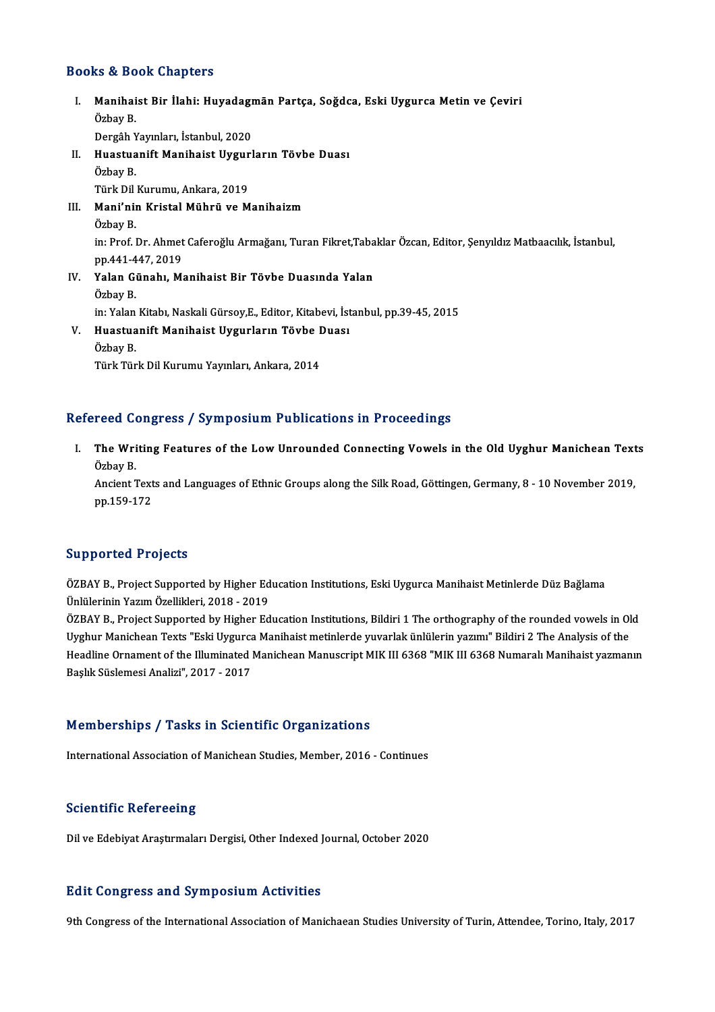### Books&Book Chapters

ooks & Book Chapters<br>I. Manihaist Bir İlahi: Huyadagmān Partça, Soğdca, Eski Uygurca Metin ve Çeviri<br>Öshav P kə & Be<br>Manihai<br>Özbay B. Manihaist Bir İlahi: Huyadagı<br>Özbay B.<br>Dergâh Yayınları, İstanbul, 2020<br>Huastuanift Manihaist Husunl Özbay B.<br>Dergâh Yayınları, İstanbul, 2020<br>II. Huastuanift Manihaist Uygurların Tövbe Duası<br>Örbey B Dergâh Y<br><mark>Huastua</mark><br>Özbay B.<br><sup>Türk Dil</sup> Huastuanift Manihaist Uygur<br>Özbay B.<br>Türk Dil Kurumu, Ankara, 2019<br>Mani'nin Knistal Mühnü ve M Özbay B.<br>Türk Dil Kurumu, Ankara, 2019<br>III. Mani'nin Kristal Mührü ve Manihaizm<br>Özbav B. Türk Dil Kurumu, Ankara, 2019 Mani'nin Kristal Mührü ve Manihaizm<br>Özbay B.<br>in: Prof. Dr. Ahmet Caferoğlu Armağanı, Turan Fikret,Tabaklar Özcan, Editor, Şenyıldız Matbaacılık, İstanbul, Özbay B.<br>in: Prof. Dr. Ahmet<br>pp.441-447, 2019<br>Yalan Günabı, M in: Prof. Dr. Ahmet Caferoğlu Armağanı, Turan Fikret,Taba<br>pp.441-447, 2019<br>IV. Yalan Günahı, Manihaist Bir Tövbe Duasında Yalan<br>Örbəy B pp.441-4<br><mark>Yalan G</mark>ı<br>Özbay B.<br>in: <sup>Volon</sup> Yalan Günahı, Manihaist Bir Tövbe Duasında Yalan<br>Özbay B.<br>in: Yalan Kitabı, Naskali Gürsoy,E., Editor, Kitabevi, İstanbul, pp.39-45, 2015<br>Huastuanift Manihaist Uygurların Töybe Duası Özbay B.<br>in: Yalan Kitabı, Naskali Gürsoy,E., Editor, Kitabevi, İst<br>V. Huastuanift Manihaist Uygurların Tövbe Duası<br>Ösbay B. in: Yalan<br><mark>Huastua</mark><br>Özbay B.<br><sup>Türk Tür</sub></sup> Huastuanift Manihaist Uygurların Tövbe I<br>Özbay B.<br>Türk Türk Dil Kurumu Yayınları, Ankara, 2014

# Türk Türk Dil Kurumu Yayınları, Ankara, 2014<br>Refereed Congress / Symposium Publications in Proceedings

efereed Congress / Symposium Publications in Proceedings<br>I. The Writing Features of the Low Unrounded Connecting Vowels in the Old Uyghur Manichean Texts The Wri<br>The Wri<br>Özbay B. The Writing Features of the Low Unrounded Connecting Vowels in the Old Uyghur Manichean Text<br>Özbay B.<br>Ancient Texts and Languages of Ethnic Groups along the Silk Road, Göttingen, Germany, 8 - 10 November 2019,<br>nn 150 172

Özbay B.<br>Ancient Text<br>pp.159-172

## pp.159-172<br>Supported Projects

Supported Projects<br>ÖZBAY B., Project Supported by Higher Education Institutions, Eski Uygurca Manihaist Metinlerde Düz Bağlama<br>Ünlülerinin Yazım Özellikleri, 2018, .2019 Uupput tou 110 joods<br>ÖZBAY B., Project Supported by Higher Ed<br>Ünlülerinin Yazım Özellikleri, 2018 - 2019<br>ÖZRAV B., Project Supported by Higher Ed ÖZBAY B., Project Supported by Higher Education Institutions, Eski Uygurca Manihaist Metinlerde Düz Bağlama<br>Ünlülerinin Yazım Özellikleri, 2018 - 2019<br>ÖZBAY B., Project Supported by Higher Education Institutions, Bildiri 1

Ünlülerinin Yazım Özellikleri, 2018 - 2019<br>ÖZBAY B., Project Supported by Higher Education Institutions, Bildiri 1 The orthography of the rounded vowels in Ol<br>Uyghur Manichean Texts "Eski Uygurca Manihaist metinlerde yuvar ÖZBAY B., Project Supported by Higher Education Institutions, Bildiri 1 The orthography of the rounded vowels in Old<br>Uyghur Manichean Texts "Eski Uygurca Manihaist metinlerde yuvarlak ünlülerin yazımı" Bildiri 2 The Analys Uyghur Manichean Texts "Eski Uygurcz<br>Headline Ornament of the Illuminated l<br>Başlık Süslemesi Analizi", 2017 - 2017

# Başlık Süslemesi Analizi", 2017 - 2017<br>Memberships / Tasks in Scientific Organizations

International Association of Manichean Studies, Member, 2016 - Continues

### **Scientific Refereeing**

Dil ve Edebiyat Araştırmaları Dergisi, Other Indexed Journal, October 2020

### **Edit Congress and Symposium Activities**

9th Congress of the International Association of Manichaean Studies University of Turin, Attendee, Torino, Italy, 2017